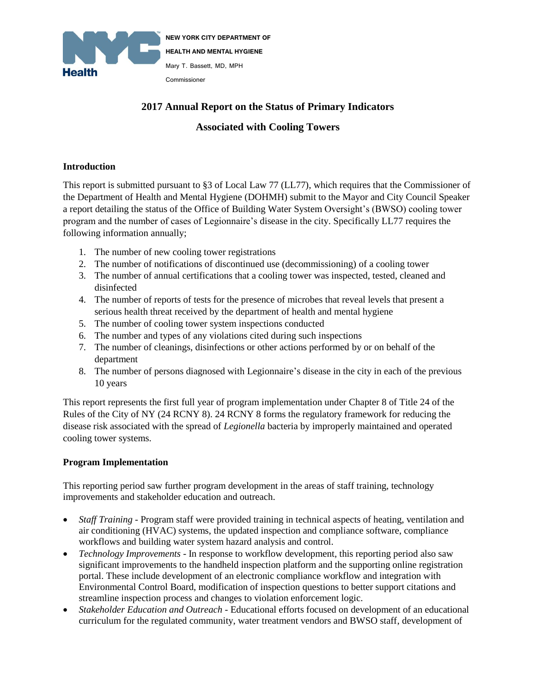

# **2017 Annual Report on the Status of Primary Indicators**

## **Associated with Cooling Towers**

## **Introduction**

This report is submitted pursuant to §3 of Local Law 77 (LL77), which requires that the Commissioner of the Department of Health and Mental Hygiene (DOHMH) submit to the Mayor and City Council Speaker a report detailing the status of the Office of Building Water System Oversight's (BWSO) cooling tower program and the number of cases of Legionnaire's disease in the city. Specifically LL77 requires the following information annually;

- 1. The number of new cooling tower registrations
- 2. The number of notifications of discontinued use (decommissioning) of a cooling tower
- 3. The number of annual certifications that a cooling tower was inspected, tested, cleaned and disinfected
- 4. The number of reports of tests for the presence of microbes that reveal levels that present a serious health threat received by the department of health and mental hygiene
- 5. The number of cooling tower system inspections conducted
- 6. The number and types of any violations cited during such inspections
- 7. The number of cleanings, disinfections or other actions performed by or on behalf of the department
- 8. The number of persons diagnosed with Legionnaire's disease in the city in each of the previous 10 years

This report represents the first full year of program implementation under Chapter 8 of Title 24 of the Rules of the City of NY (24 RCNY 8). 24 RCNY 8 forms the regulatory framework for reducing the disease risk associated with the spread of *Legionella* bacteria by improperly maintained and operated cooling tower systems.

## **Program Implementation**

This reporting period saw further program development in the areas of staff training, technology improvements and stakeholder education and outreach.

- *Staff Training -* Program staff were provided training in technical aspects of heating, ventilation and air conditioning (HVAC) systems, the updated inspection and compliance software, compliance workflows and building water system hazard analysis and control.
- *Technology Improvements* In response to workflow development, this reporting period also saw significant improvements to the handheld inspection platform and the supporting online registration portal. These include development of an electronic compliance workflow and integration with Environmental Control Board, modification of inspection questions to better support citations and streamline inspection process and changes to violation enforcement logic.
- *Stakeholder Education and Outreach -* Educational efforts focused on development of an educational curriculum for the regulated community, water treatment vendors and BWSO staff, development of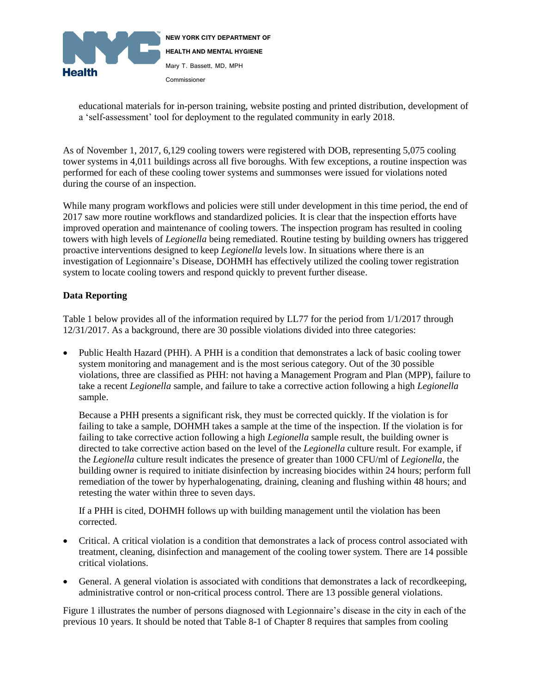

educational materials for in-person training, website posting and printed distribution, development of a 'self-assessment' tool for deployment to the regulated community in early 2018.

As of November 1, 2017, 6,129 cooling towers were registered with DOB, representing 5,075 cooling tower systems in 4,011 buildings across all five boroughs. With few exceptions, a routine inspection was performed for each of these cooling tower systems and summonses were issued for violations noted during the course of an inspection.

While many program workflows and policies were still under development in this time period, the end of 2017 saw more routine workflows and standardized policies. It is clear that the inspection efforts have improved operation and maintenance of cooling towers. The inspection program has resulted in cooling towers with high levels of *Legionella* being remediated. Routine testing by building owners has triggered proactive interventions designed to keep *Legionella* levels low. In situations where there is an investigation of Legionnaire's Disease, DOHMH has effectively utilized the cooling tower registration system to locate cooling towers and respond quickly to prevent further disease.

#### **Data Reporting**

Table 1 below provides all of the information required by LL77 for the period from  $1/1/2017$  through 12/31/2017. As a background, there are 30 possible violations divided into three categories:

 Public Health Hazard (PHH). A PHH is a condition that demonstrates a lack of basic cooling tower system monitoring and management and is the most serious category. Out of the 30 possible violations, three are classified as PHH: not having a Management Program and Plan (MPP), failure to take a recent *Legionella* sample, and failure to take a corrective action following a high *Legionella* sample.

Because a PHH presents a significant risk, they must be corrected quickly. If the violation is for failing to take a sample, DOHMH takes a sample at the time of the inspection. If the violation is for failing to take corrective action following a high *Legionella* sample result, the building owner is directed to take corrective action based on the level of the *Legionella* culture result. For example, if the *Legionella* culture result indicates the presence of greater than 1000 CFU/ml of *Legionella*, the building owner is required to initiate disinfection by increasing biocides within 24 hours; perform full remediation of the tower by hyperhalogenating, draining, cleaning and flushing within 48 hours; and retesting the water within three to seven days.

If a PHH is cited, DOHMH follows up with building management until the violation has been corrected.

- Critical. A critical violation is a condition that demonstrates a lack of process control associated with treatment, cleaning, disinfection and management of the cooling tower system. There are 14 possible critical violations.
- General. A general violation is associated with conditions that demonstrates a lack of recordkeeping, administrative control or non-critical process control. There are 13 possible general violations.

Figure 1 illustrates the number of persons diagnosed with Legionnaire's disease in the city in each of the previous 10 years. It should be noted that Table 8-1 of Chapter 8 requires that samples from cooling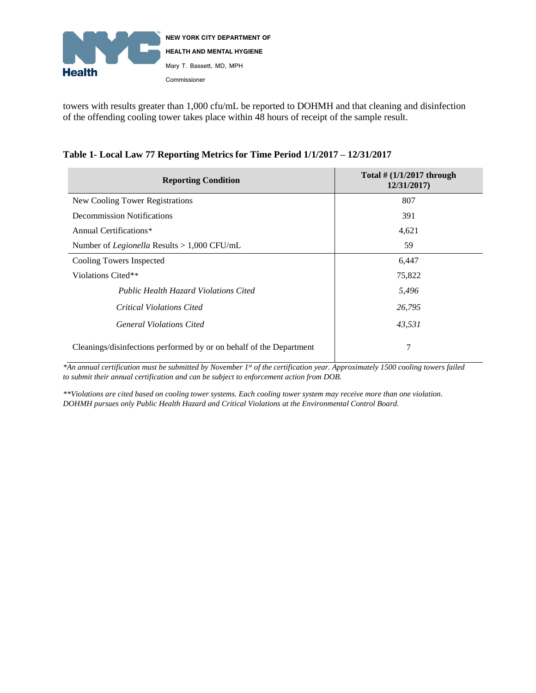

towers with results greater than 1,000 cfu/mL be reported to DOHMH and that cleaning and disinfection of the offending cooling tower takes place within 48 hours of receipt of the sample result.

| <b>Reporting Condition</b>                                          | Total $\#$ (1/1/2017 through<br>12/31/2017) |
|---------------------------------------------------------------------|---------------------------------------------|
| New Cooling Tower Registrations                                     | 807                                         |
| Decommission Notifications                                          | 391                                         |
| Annual Certifications*                                              | 4,621                                       |
| Number of <i>Legionella</i> Results $> 1,000$ CFU/mL                | 59                                          |
| Cooling Towers Inspected                                            | 6,447                                       |
| Violations Cited**                                                  | 75,822                                      |
| <b>Public Health Hazard Violations Cited</b>                        | 5,496                                       |
| Critical Violations Cited                                           | 26,795                                      |
| <b>General Violations Cited</b>                                     | 43,531                                      |
| Cleanings/disinfections performed by or on behalf of the Department | 7                                           |

## **Table 1- Local Law 77 Reporting Metrics for Time Period 1/1/2017 – 12/31/2017**

*\*An annual certification must be submitted by November 1st of the certification year. Approximately 1500 cooling towers failed to submit their annual certification and can be subject to enforcement action from DOB.* 

*\*\*Violations are cited based on cooling tower systems. Each cooling tower system may receive more than one violation. DOHMH pursues only Public Health Hazard and Critical Violations at the Environmental Control Board.*